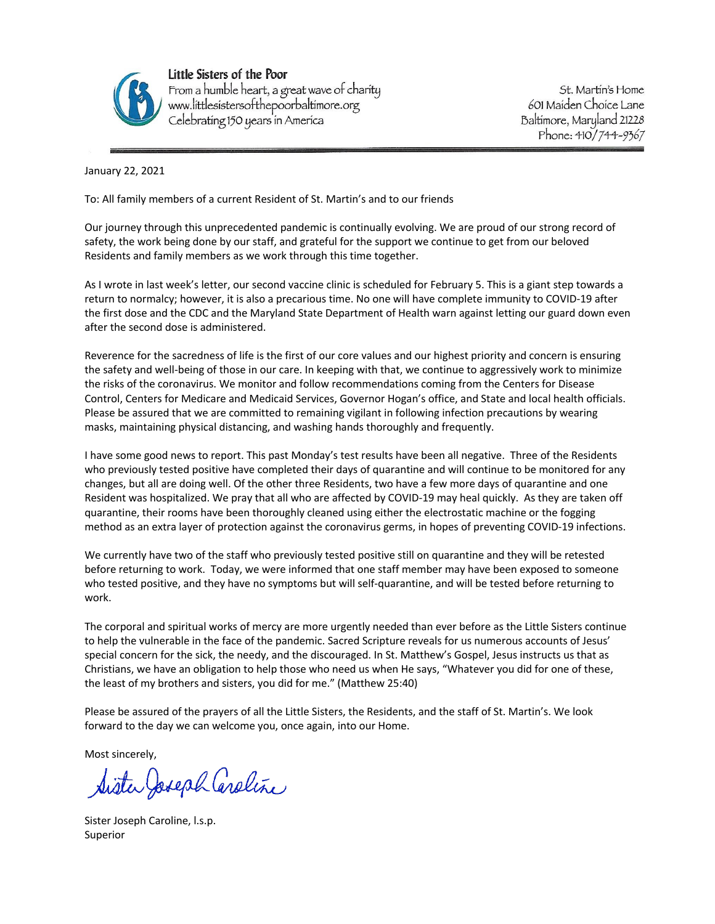

Little Sisters of the Poor From a humble heart, a great wave of charity<br>www.littlesistersofthepoorbaltimore.org<br>Celebrating 150 years in America

St. Martin's Home 601 Maiden Choice Lane Baltimore, Maryland 21228 Phone: 410/744-9367

January 22, 2021

To: All family members of a current Resident of St. Martin's and to our friends

Our journey through this unprecedented pandemic is continually evolving. We are proud of our strong record of safety, the work being done by our staff, and grateful for the support we continue to get from our beloved Residents and family members as we work through this time together.

As I wrote in last week's letter, our second vaccine clinic is scheduled for February 5. This is a giant step towards a return to normalcy; however, it is also a precarious time. No one will have complete immunity to COVID-19 after the first dose and the CDC and the Maryland State Department of Health warn against letting our guard down even after the second dose is administered.

Reverence for the sacredness of life is the first of our core values and our highest priority and concern is ensuring the safety and well-being of those in our care. In keeping with that, we continue to aggressively work to minimize the risks of the coronavirus. We monitor and follow recommendations coming from the Centers for Disease Control, Centers for Medicare and Medicaid Services, Governor Hogan's office, and State and local health officials. Please be assured that we are committed to remaining vigilant in following infection precautions by wearing masks, maintaining physical distancing, and washing hands thoroughly and frequently.

I have some good news to report. This past Monday's test results have been all negative. Three of the Residents who previously tested positive have completed their days of quarantine and will continue to be monitored for any changes, but all are doing well. Of the other three Residents, two have a few more days of quarantine and one Resident was hospitalized. We pray that all who are affected by COVID-19 may heal quickly. As they are taken off quarantine, their rooms have been thoroughly cleaned using either the electrostatic machine or the fogging method as an extra layer of protection against the coronavirus germs, in hopes of preventing COVID-19 infections.

We currently have two of the staff who previously tested positive still on quarantine and they will be retested before returning to work. Today, we were informed that one staff member may have been exposed to someone who tested positive, and they have no symptoms but will self-quarantine, and will be tested before returning to work.

The corporal and spiritual works of mercy are more urgently needed than ever before as the Little Sisters continue to help the vulnerable in the face of the pandemic. Sacred Scripture reveals for us numerous accounts of Jesus' special concern for the sick, the needy, and the discouraged. In St. Matthew's Gospel, Jesus instructs us that as Christians, we have an obligation to help those who need us when He says, "Whatever you did for one of these, the least of my brothers and sisters, you did for me." (Matthew 25:40)

Please be assured of the prayers of all the Little Sisters, the Residents, and the staff of St. Martin's. We look forward to the day we can welcome you, once again, into our Home.

Most sincerely,

Sister Joseph Caroline

Sister Joseph Caroline, l.s.p. Superior